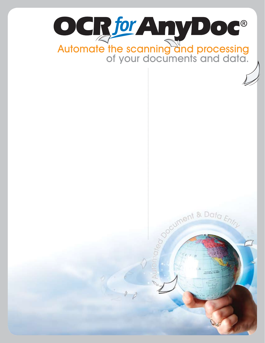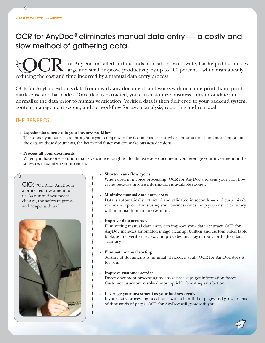# OCR for AnyDoc® eliminates manual data entry — a costly and slow method of gathering data.

for AnyDoc, installed at thousands of locations worldwide, has helped businesses  $\Box$  large and small improve productivity by up to 400 percent – while dramatically **COCR** for AnyDoc, installed at thousands of location large and small improve productivity by up to reducing the cost and time incurred by a manual data entry process.

OCR for AnyDoc extracts data from nearly any document, and works with machine print, hand print, mark sense and bar codes. Once data is extracted, you can customize business rules to validate and normalize the data prior to human verification. Verified data is then delivered to your backend system, content management system, and/or workflow for use in analysis, reporting and retrieval.

# The Benefits

### **» Expedite documents into your business workflow**

The sooner you have access throughout your company to the documents structured or non-structured, and more important, the data on these documents, the better and faster you can make business decisions.

### **» Process all your documents**

When you have one solution that is versatile enough to do almost every document, you leverage your investment in the software, maximizing your return.

### CIO: "OCR for AnyDoc is a protected investment for us. As our business needs change, the software grows and adapts with us."



### **» Shorten cash flow cycles**

When used in invoice processing, OCR for AnyDoc shortens your cash flow cycles because invoice information is available sooner.

### **» Minimize manual data entry costs**

Data is automatically extracted and validated in seconds — and customizable verification procedures using your business rules, help you ensure accuracy with minimal human intervention.

### **» Improve data accuracy**

Eliminating manual data entry can improve your data accuracy. OCR for AnyDoc includes automated image cleanup, built-in and custom rules, table lookups and verifier review, and provides an array of tools for higher data accuracy.

### **» Eliminate manual sorting**

Sorting of documents is minimal, if needed at all. OCR for AnyDoc does it for you.

### **» Improve customer service**

Faster document processing means service reps get information faster. Customer issues are resolved more quickly, boosting satisfaction.

**» Leverage your investment as your business evolves** If your daily processing needs start with a handful of pages and grow to tens of thousands of pages, OCR for AnyDoc will grow with you.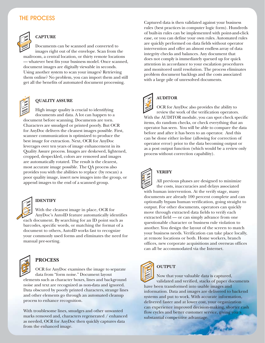# THE PROCESS



# **CAPTURE**

Documents can be scanned and converted to images right out of the envelope. Scan from the mailroom, a central location, or thirty remote locations — whatever best fits your business model. Once scanned, document images are digitally viewable in seconds. Using another system to scan your images? Retrieving them online? No problem, you can import them and still get all the benefits of automated document processing.



### **QUALITY ASSURE**

High image quality is crucial to identifying documents and data. A lot can happen to a document before scanning. Documents are torn. Characters are smudged or printed poorly. But OCR for AnyDoc delivers the cleanest images possible. First, scanner communication is optimized to produce the best image for extraction. Next, OCR for AnyDoc leverages over ten years of image enhancement in its Quality Assure process. Images are deskewed, lightened, cropped, despeckled, colors are removed and images are automatically rotated. The result is the clearest, most accurate image possible. The QA process also provides you with the abilities to replace (by rescan) a poor quality image, insert new images into the group, or append images to the end of a scanned group.



### **IDENTIFY**

With the cleanest image in place, OCR for AnyDoc's AutoID feature automatically identifies each document. By searching for an ID point such as barcodes, specific words, or matching the format of a document to others, AutoID works fast to recognize your commonly used forms and eliminates the need for manual pre-sorting.



# **PROCESS**

OCR for AnyDoc examines the image to separate data from "form noise." Document layout elements such as character boxes, lines and background noise and text are recognized as non-data and ignored. Data obscured by poorly printed characters, strange lines and other elements go through an automated cleanup process to enhance recognition.

With troublesome lines, smudges and other unwanted marks removed and, characters regenerated / enhanced as needed, OCR for AnyDoc then quickly captures data from the enhanced image.

Captured data is then validated against your business rules (best practices in computer logic form). Hundreds of built-in rules can be implemented with point-and-click ease, or you can define your own rules. Automated rules are quickly performed on data fields without operator intervention and offer an almost endless array of data integrity checks and balances. Any document that does not comply is immediately queued up for quick attention in accordance to your escalation procedures and monitored until resolution. The process eliminates problem document backlogs and the costs associated with a large pile of unresolved documents.



# **AUDITOR**

OCR for AnyDoc also provides the ability to review the work of the verification operators. With the AUDITOR module, you can spot check specific items, do random checks, or check everything that an operator has seen. You will be able to compare the data before and after it has been to an operator. And this can be done either in-line (allowing for correction of operator error) prior to the data becoming output or as a post output function (which would be a review only process without correction capability).



# **VERIFY**

All previous phases are designed to minimize the costs, inaccuracies and delays associated with human intervention. At the verify stage, many documents are already 100 percent complete and can optionally bypass human verification, going straight to output. For other documents, operators can quickly move through extracted data fields to verify each extracted field — or can simply advance from one questionable character or business rule violation to another. You design the layout of the screen to match your business needs. Verification can take place locally, at remote locations or both. Home workers, branch offices, new corporate acquisitions and overseas offices can all be accommodated via the Internet.



# **OUTPUT**

Now that your valuable data is captured, validated and verified, stacks of paper documents have been transformed into usable images and information. Data and images are delivered to backend systems and put to work. With accurate information, delivered faster and at lower cost, your organization can experience improved decision-making, shorter cash flow cycles and better customer service, giving you a substantial competitive advantage.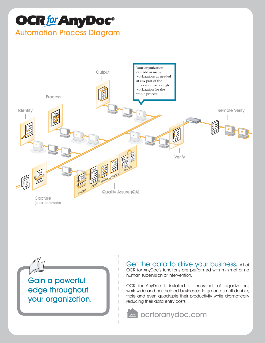# **OCRfor Any Doc**® **Automation Process Diagram**



**Gain a powerful** edge throughout your organization. Get the data to drive your business. All of OCR for AnyDoc's functions are performed with minimal or no human supervision or intervention.

OCR for AnyDoc is installed at thousands of organizations worldwide and has helped businesses large and small double, triple and even quadruple their productivity while dramatically reducing their data entry costs.

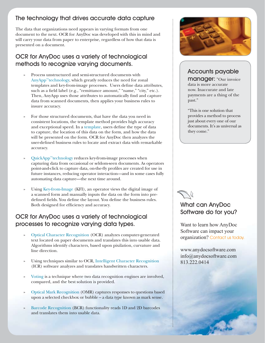# The technology that drives accurate data capture

The data that organizations need appears in varying formats from one document to the next. OCR for AnyDoc was developed with this in mind and will carry your data from paper to enterprise, regardless of how that data is presented on a document.

# OCR for AnyDoc uses a variety of technological methods to recognize varying documents.

- **»**  Process unstructured and semi-structured documents with AnyApp™technology, which greatly reduces the need for zonal templates and key-from-image processes. Users define data attributes, such as a field label (e.g., "remittance amount," "name," "city," etc.). Then, AnyApp uses those attributes to automatically find and capture data from scanned documents, then applies your business rules to insure accuracy.
- For those structured documents, that have the data you need in consistent locations, the template method provides high accuracy and exceptional speed. In a template, users define the type of data to capture, the location of this data on the form, and how the data will be presented on the form. OCR for AnyDoc then analyzes the user-defined business rules to locate and extract data with remarkable accuracy.
- **»**  QuickApp™technology reduces key-from-image processes when capturing data from occasional or seldom-seen documents. As operators point-and-click to capture data, on-the-fly profiles are created for use in future instances, reducing operator interaction—and in some cases fully automating data capture—the next time around.
- Using Key-from-Image (KFI), an operator views the digital image of a scanned form and manually inputs the data on the form into predefined fields. You define the layout. You define the business rules. Both designed for efficiency and accuracy.

# OCR for AnyDoc uses a variety of technological processes to recognize varying data types.

- **»**  Optical Character Recognition (OCR) analyzes computer-generated text located on paper documents and translates this into usable data. Algorithms identify characters, based upon pixilation, curvature and line direction.
- **»**  Using techniques similar to OCR, Intelligent Character Recognition (ICR) software analyzes and translates handwritten characters.
- **»** Voting is a technique where two data recognition engines are involved, compared, and the best solution is provided.
- **»**  Optical Mark Recognition (OMR) captures responses to questions based upon a selected checkbox or bubble – a data type known as mark sense.
- Barcode Recognition (BCR) functionality reads 1D and 2D barcodes and translates them into usable data.



# Accounts payable

manager: "Our invoice data is more accurate now. Inaccurate and late payments are a thing of the past."

"This is one solution that provides a method to process just about every one of our documents. It's as universal as they come."



# What can AnyDoc Software do for you?

Want to learn how AnyDoc Software can impact your organization? Contact us today.

www.anydocsoftware.com info@anydocsoftware.com 813.222.0414